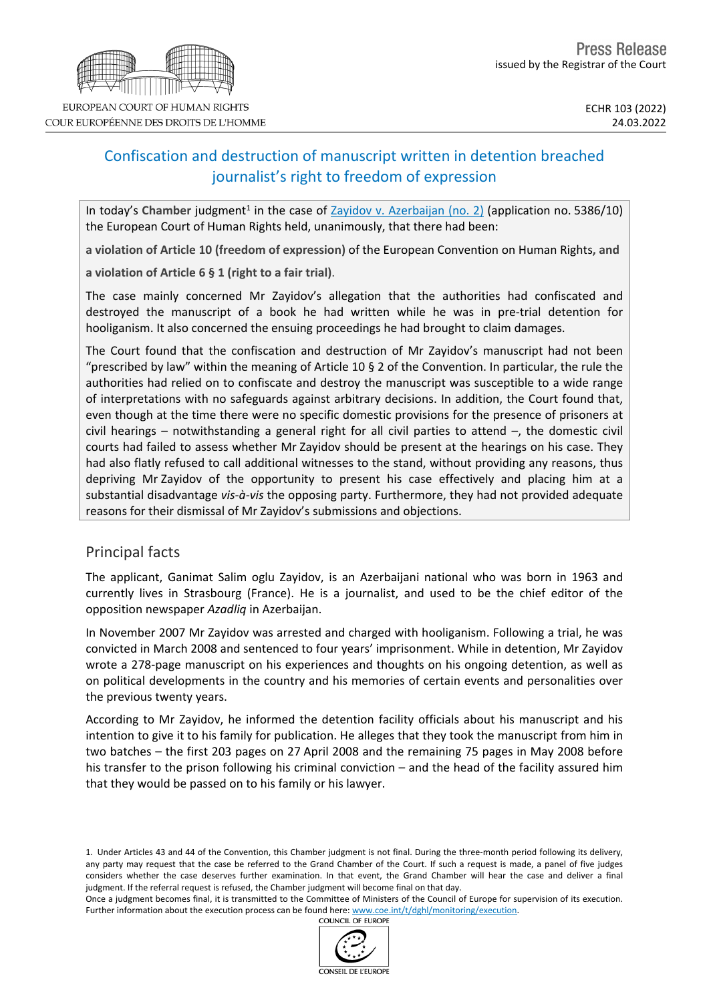# Confiscation and destruction of manuscript written in detention breached journalist's right to freedom of expression

In today's Chamber judgment<sup>1</sup> in the case of **Zayidov v. [Azerbaijan](https://hudoc.echr.coe.int/eng?i=001-216356) (no. 2)** (application no. 5386/10) the European Court of Human Rights held, unanimously, that there had been:

**a violation of Article 10 (freedom of expression)** of the European Convention on Human Rights**, and**

**a violation of Article 6 § 1 (right to a fair trial)**.

The case mainly concerned Mr Zayidov's allegation that the authorities had confiscated and destroyed the manuscript of a book he had written while he was in pre-trial detention for hooliganism. It also concerned the ensuing proceedings he had brought to claim damages.

The Court found that the confiscation and destruction of Mr Zayidov's manuscript had not been "prescribed by law" within the meaning of Article 10  $\S$  2 of the Convention. In particular, the rule the authorities had relied on to confiscate and destroy the manuscript was susceptible to a wide range of interpretations with no safeguards against arbitrary decisions. In addition, the Court found that, even though at the time there were no specific domestic provisions for the presence of prisoners at civil hearings – notwithstanding a general right for all civil parties to attend –, the domestic civil courts had failed to assess whether Mr Zayidov should be present at the hearings on his case. They had also flatly refused to call additional witnesses to the stand, without providing any reasons, thus depriving Mr Zayidov of the opportunity to present his case effectively and placing him at a substantial disadvantage *vis-à-vis* the opposing party. Furthermore, they had not provided adequate reasons for their dismissal of Mr Zayidov's submissions and objections.

## Principal facts

The applicant, Ganimat Salim oglu Zayidov, is an Azerbaijani national who was born in 1963 and currently lives in Strasbourg (France). He is a journalist, and used to be the chief editor of the opposition newspaper *Azadliq* in Azerbaijan.

In November 2007 Mr Zayidov was arrested and charged with hooliganism. Following a trial, he was convicted in March 2008 and sentenced to four years' imprisonment. While in detention, Mr Zayidov wrote a 278-page manuscript on his experiences and thoughts on his ongoing detention, as well as on political developments in the country and his memories of certain events and personalities over the previous twenty years.

According to Mr Zayidov, he informed the detention facility officials about his manuscript and his intention to give it to his family for publication. He alleges that they took the manuscript from him in two batches – the first 203 pages on 27 April 2008 and the remaining 75 pages in May 2008 before his transfer to the prison following his criminal conviction – and the head of the facility assured him that they would be passed on to his family or his lawyer.

1. Under Articles 43 and 44 of the Convention, this Chamber judgment is not final. During the three-month period following its delivery, any party may request that the case be referred to the Grand Chamber of the Court. If such a request is made, a panel of five judges considers whether the case deserves further examination. In that event, the Grand Chamber will hear the case and deliver a final judgment. If the referral request is refused, the Chamber judgment will become final on that day.

Once a judgment becomes final, it is transmitted to the Committee of Ministers of the Council of Europe for supervision of its execution. Further information about the execution process can be found here: [www.coe.int/t/dghl/monitoring/execution](http://www.coe.int/t/dghl/monitoring/execution).<br>COUNCIL OF EUROPE



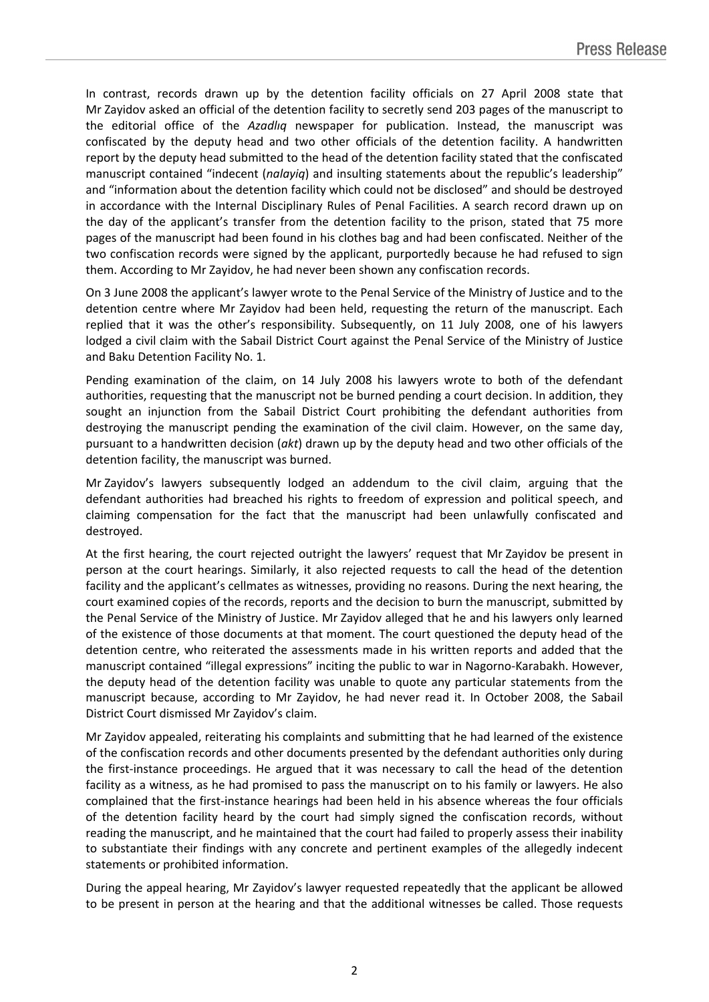In contrast, records drawn up by the detention facility officials on 27 April 2008 state that Mr Zayidov asked an official of the detention facility to secretly send 203 pages of the manuscript to the editorial office of the *Azadlıq* newspaper for publication. Instead, the manuscript was confiscated by the deputy head and two other officials of the detention facility. A handwritten report by the deputy head submitted to the head of the detention facility stated that the confiscated manuscript contained "indecent (*nalayiq*) and insulting statements about the republic's leadership" and "information about the detention facility which could not be disclosed" and should be destroyed in accordance with the Internal Disciplinary Rules of Penal Facilities. A search record drawn up on the day of the applicant's transfer from the detention facility to the prison, stated that 75 more pages of the manuscript had been found in his clothes bag and had been confiscated. Neither of the two confiscation records were signed by the applicant, purportedly because he had refused to sign them. According to Mr Zayidov, he had never been shown any confiscation records.

On 3 June 2008 the applicant's lawyer wrote to the Penal Service of the Ministry of Justice and to the detention centre where Mr Zayidov had been held, requesting the return of the manuscript. Each replied that it was the other's responsibility. Subsequently, on 11 July 2008, one of his lawyers lodged a civil claim with the Sabail District Court against the Penal Service of the Ministry of Justice and Baku Detention Facility No. 1.

Pending examination of the claim, on 14 July 2008 his lawyers wrote to both of the defendant authorities, requesting that the manuscript not be burned pending a court decision. In addition, they sought an injunction from the Sabail District Court prohibiting the defendant authorities from destroying the manuscript pending the examination of the civil claim. However, on the same day, pursuant to a handwritten decision (*akt*) drawn up by the deputy head and two other officials of the detention facility, the manuscript was burned.

Mr Zayidov's lawyers subsequently lodged an addendum to the civil claim, arguing that the defendant authorities had breached his rights to freedom of expression and political speech, and claiming compensation for the fact that the manuscript had been unlawfully confiscated and destroyed.

At the first hearing, the court rejected outright the lawyers' request that Mr Zayidov be present in person at the court hearings. Similarly, it also rejected requests to call the head of the detention facility and the applicant's cellmates as witnesses, providing no reasons. During the next hearing, the court examined copies of the records, reports and the decision to burn the manuscript, submitted by the Penal Service of the Ministry of Justice. Mr Zayidov alleged that he and his lawyers only learned of the existence of those documents at that moment. The court questioned the deputy head of the detention centre, who reiterated the assessments made in his written reports and added that the manuscript contained "illegal expressions" inciting the public to war in Nagorno-Karabakh. However, the deputy head of the detention facility was unable to quote any particular statements from the manuscript because, according to Mr Zayidov, he had never read it. In October 2008, the Sabail District Court dismissed Mr Zayidov's claim.

Mr Zayidov appealed, reiterating his complaints and submitting that he had learned of the existence of the confiscation records and other documents presented by the defendant authorities only during the first-instance proceedings. He argued that it was necessary to call the head of the detention facility as a witness, as he had promised to pass the manuscript on to his family or lawyers. He also complained that the first-instance hearings had been held in his absence whereas the four officials of the detention facility heard by the court had simply signed the confiscation records, without reading the manuscript, and he maintained that the court had failed to properly assess their inability to substantiate their findings with any concrete and pertinent examples of the allegedly indecent statements or prohibited information.

During the appeal hearing, Mr Zayidov's lawyer requested repeatedly that the applicant be allowed to be present in person at the hearing and that the additional witnesses be called. Those requests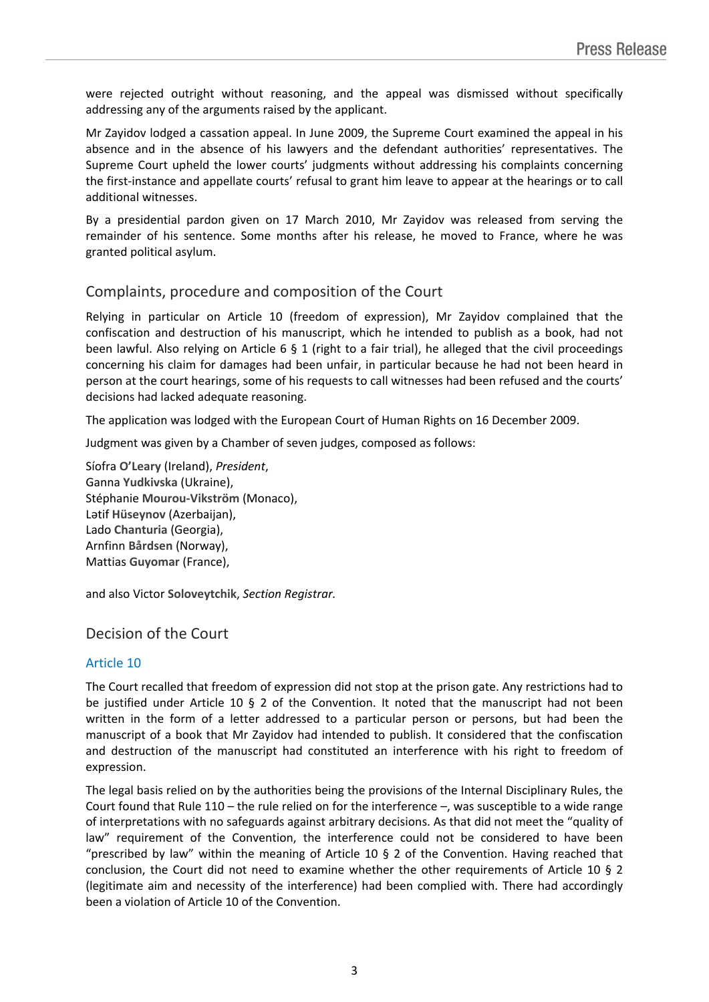were rejected outright without reasoning, and the appeal was dismissed without specifically addressing any of the arguments raised by the applicant.

Mr Zayidov lodged a cassation appeal. In June 2009, the Supreme Court examined the appeal in his absence and in the absence of his lawyers and the defendant authorities' representatives. The Supreme Court upheld the lower courts' judgments without addressing his complaints concerning the first-instance and appellate courts' refusal to grant him leave to appear at the hearings or to call additional witnesses.

By a presidential pardon given on 17 March 2010, Mr Zayidov was released from serving the remainder of his sentence. Some months after his release, he moved to France, where he was granted political asylum.

## Complaints, procedure and composition of the Court

Relying in particular on Article 10 (freedom of expression), Mr Zayidov complained that the confiscation and destruction of his manuscript, which he intended to publish as a book, had not been lawful. Also relying on Article 6 § 1 (right to a fair trial), he alleged that the civil proceedings concerning his claim for damages had been unfair, in particular because he had not been heard in person at the court hearings, some of his requests to call witnesses had been refused and the courts' decisions had lacked adequate reasoning.

The application was lodged with the European Court of Human Rights on 16 December 2009.

Judgment was given by a Chamber of seven judges, composed as follows:

Síofra **O'Leary** (Ireland), *President*, Ganna **Yudkivska** (Ukraine), Stéphanie **Mourou-Vikström** (Monaco), Lətif **Hüseynov** (Azerbaijan), Lado **Chanturia** (Georgia), Arnfinn **Bårdsen** (Norway), Mattias **Guyomar** (France),

and also Victor **Soloveytchik**, *Section Registrar.*

## Decision of the Court

#### Article 10

The Court recalled that freedom of expression did not stop at the prison gate. Any restrictions had to be justified under Article 10 § 2 of the Convention. It noted that the manuscript had not been written in the form of a letter addressed to a particular person or persons, but had been the manuscript of a book that Mr Zayidov had intended to publish. It considered that the confiscation and destruction of the manuscript had constituted an interference with his right to freedom of expression.

The legal basis relied on by the authorities being the provisions of the Internal Disciplinary Rules, the Court found that Rule 110 – the rule relied on for the interference –, was susceptible to a wide range of interpretations with no safeguards against arbitrary decisions. As that did not meet the "quality of law" requirement of the Convention, the interference could not be considered to have been "prescribed by law" within the meaning of Article 10  $\S$  2 of the Convention. Having reached that conclusion, the Court did not need to examine whether the other requirements of Article 10 § 2 (legitimate aim and necessity of the interference) had been complied with. There had accordingly been a violation of Article 10 of the Convention.